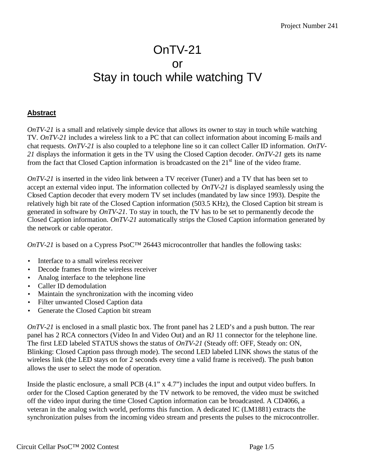## OnTV-21 or Stay in touch while watching TV

## **Abstract**

*OnTV-21* is a small and relatively simple device that allows its owner to stay in touch while watching TV. *OnTV-21* includes a wireless link to a PC that can collect information about incoming E-mails and chat requests. *OnTV-21* is also coupled to a telephone line so it can collect Caller ID information. *OnTV-21* displays the information it gets in the TV using the Closed Caption decoder. *OnTV-21* gets its name from the fact that Closed Caption information is broadcasted on the  $21<sup>st</sup>$  line of the video frame.

*OnTV-21* is inserted in the video link between a TV receiver (Tuner) and a TV that has been set to accept an external video input. The information collected by *OnTV-21* is displayed seamlessly using the Closed Caption decoder that every modern TV set includes (mandated by law since 1993). Despite the relatively high bit rate of the Closed Caption information (503.5 KHz), the Closed Caption bit stream is generated in software by *OnTV-21*. To stay in touch, the TV has to be set to permanently decode the Closed Caption information. *OnTV-21* automatically strips the Closed Caption information generated by the network or cable operator.

*OnTV-21* is based on a Cypress PsoC<sup>TM</sup> 26443 microcontroller that handles the following tasks:

- Interface to a small wireless receiver
- Decode frames from the wireless receiver
- Analog interface to the telephone line
- Caller ID demodulation
- Maintain the synchronization with the incoming video
- Filter unwanted Closed Caption data
- Generate the Closed Caption bit stream

*OnTV-21* is enclosed in a small plastic box. The front panel has 2 LED's and a push button. The rear panel has 2 RCA connectors (Video In and Video Out) and an RJ 11 connector for the telephone line. The first LED labeled STATUS shows the status of *OnTV-21* (Steady off: OFF, Steady on: ON, Blinking: Closed Caption pass through mode). The second LED labeled LINK shows the status of the wireless link (the LED stays on for 2 seconds every time a valid frame is received). The push button allows the user to select the mode of operation.

Inside the plastic enclosure, a small PCB (4.1" x 4.7") includes the input and output video buffers. In order for the Closed Caption generated by the TV network to be removed, the video must be switched off the video input during the time Closed Caption information can be broadcasted. A CD4066, a veteran in the analog switch world, performs this function. A dedicated IC (LM1881) extracts the synchronization pulses from the incoming video stream and presents the pulses to the microcontroller.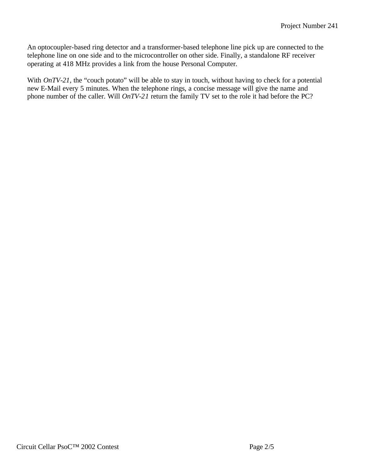An optocoupler-based ring detector and a transformer-based telephone line pick up are connected to the telephone line on one side and to the microcontroller on other side. Finally, a standalone RF receiver operating at 418 MHz provides a link from the house Personal Computer.

With *OnTV-21*, the "couch potato" will be able to stay in touch, without having to check for a potential new E-Mail every 5 minutes. When the telephone rings, a concise message will give the name and phone number of the caller. Will *OnTV-21* return the family TV set to the role it had before the PC?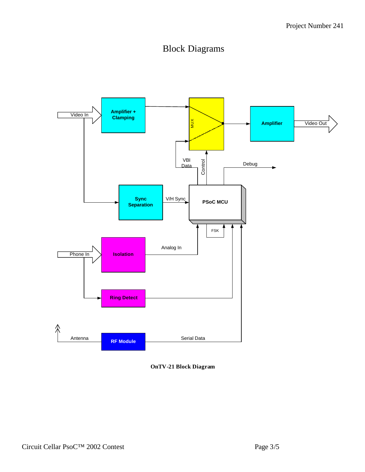## Block Diagrams



**OnTV-21 Block Diagram**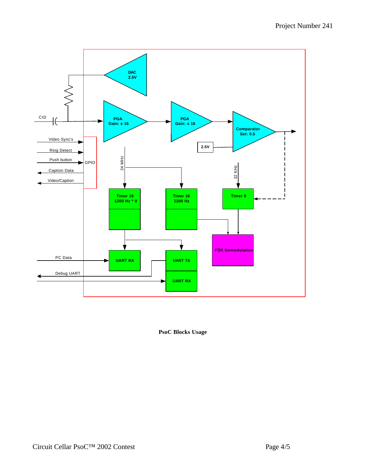

**PsoC Blocks Usage**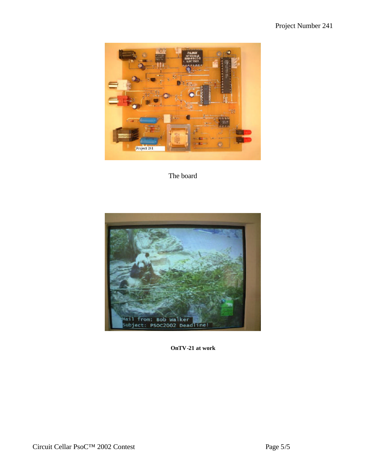

The board



**OnTV-21 at work**